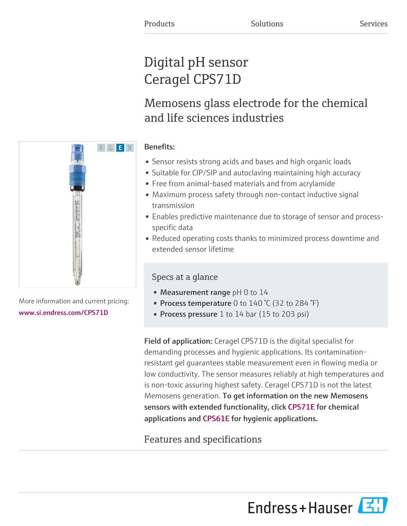# Digital pH sensor Ceragel CPS71D

## Memosens glass electrode for the chemical and life sciences industries

## Benefits:

- Sensor resists strong acids and bases and high organic loads
- Suitable for CIP/SIP and autoclaving maintaining high accuracy
- Free from animal-based materials and from acrylamide
- Maximum process safety through non-contact inductive signal transmission
- Enables predictive maintenance due to storage of sensor and processspecific data
- Reduced operating costs thanks to minimized process downtime and extended sensor lifetime

## Specs at a glance

- Measurement range  $pH$  0 to 14
- Process temperature 0 to  $140\text{ °C}$  (32 to 284  $\text{°F}$ )
- Process pressure 1 to 14 bar (15 to 203 psi)

Field of application: Ceragel CPS71D is the digital specialist for demanding processes and hygienic applications. Its contaminationresistant gel guarantees stable measurement even in flowing media or low conductivity. The sensor measures reliably at high temperatures and is non-toxic assuring highest safety. Ceragel CPS71D is not the latest Memosens generation. To get information on the new Memosens sensors with extended functionality, click CPS71E for chemical applicationsand CPS61E for hygienic applications.

## Features and specifications





More information and current pricing: [www.si.endress.com/CPS71D](https://www.si.endress.com/CPS71D)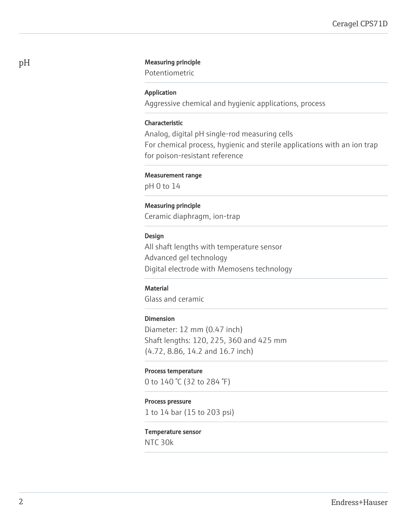#### pH Measuring principle

Potentiometric

#### Application

Aggressive chemical and hygienic applications, process

#### Characteristic

Analog, digital pH single-rod measuring cells For chemical process, hygienic and sterile applications with an ion trap for poison-resistant reference

#### Measurement range

pH 0 to 14

#### Measuring principle

Ceramic diaphragm, ion-trap

#### Design

All shaft lengths with temperature sensor Advanced gel technology Digital electrode with Memosens technology

#### **Material**

Glass and ceramic

#### Dimension

Diameter: 12 mm (0.47 inch) Shaft lengths: 120, 225, 360 and 425 mm (4.72, 8.86, 14.2 and 16.7 inch)

#### Process temperature

0 to 140 °C (32 to 284 °F)

#### Process pressure

1 to 14 bar (15 to 203 psi)

#### Temperature sensor

NTC 30k